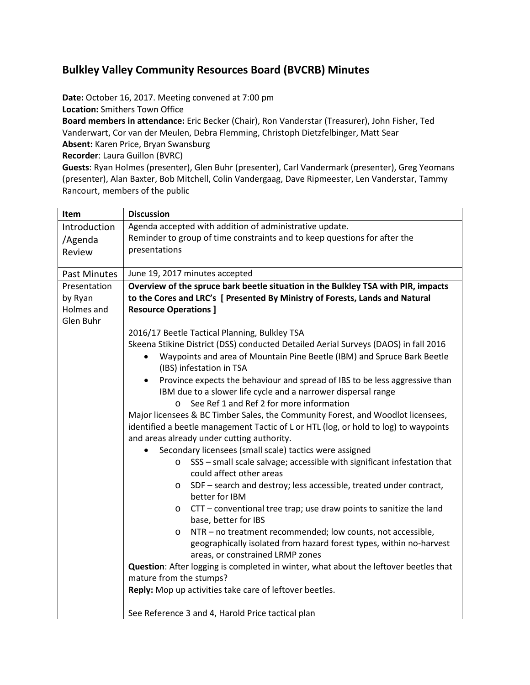# **Bulkley Valley Community Resources Board (BVCRB) Minutes**

**Date:** October 16, 2017. Meeting convened at 7:00 pm

**Location:** Smithers Town Office

**Board members in attendance:** Eric Becker (Chair), Ron Vanderstar (Treasurer), John Fisher, Ted Vanderwart, Cor van der Meulen, Debra Flemming, Christoph Dietzfelbinger, Matt Sear

**Absent:** Karen Price, Bryan Swansburg

**Recorder**: Laura Guillon (BVRC)

**Guests**: Ryan Holmes (presenter), Glen Buhr (presenter), Carl Vandermark (presenter), Greg Yeomans (presenter), Alan Baxter, Bob Mitchell, Colin Vandergaag, Dave Ripmeester, Len Vanderstar, Tammy Rancourt, members of the public

| Item                                | <b>Discussion</b>                                                                                                                                                                                                     |  |  |  |  |  |
|-------------------------------------|-----------------------------------------------------------------------------------------------------------------------------------------------------------------------------------------------------------------------|--|--|--|--|--|
| Introduction                        | Agenda accepted with addition of administrative update.                                                                                                                                                               |  |  |  |  |  |
| /Agenda                             | Reminder to group of time constraints and to keep questions for after the                                                                                                                                             |  |  |  |  |  |
| Review                              | presentations                                                                                                                                                                                                         |  |  |  |  |  |
|                                     |                                                                                                                                                                                                                       |  |  |  |  |  |
| <b>Past Minutes</b><br>Presentation | June 19, 2017 minutes accepted                                                                                                                                                                                        |  |  |  |  |  |
| by Ryan                             | Overview of the spruce bark beetle situation in the Bulkley TSA with PIR, impacts<br>to the Cores and LRC's [ Presented By Ministry of Forests, Lands and Natural                                                     |  |  |  |  |  |
| Holmes and                          | <b>Resource Operations ]</b>                                                                                                                                                                                          |  |  |  |  |  |
| Glen Buhr                           |                                                                                                                                                                                                                       |  |  |  |  |  |
|                                     | 2016/17 Beetle Tactical Planning, Bulkley TSA                                                                                                                                                                         |  |  |  |  |  |
|                                     | Skeena Stikine District (DSS) conducted Detailed Aerial Surveys (DAOS) in fall 2016                                                                                                                                   |  |  |  |  |  |
|                                     | Waypoints and area of Mountain Pine Beetle (IBM) and Spruce Bark Beetle<br>(IBS) infestation in TSA                                                                                                                   |  |  |  |  |  |
|                                     | Province expects the behaviour and spread of IBS to be less aggressive than<br>$\bullet$<br>IBM due to a slower life cycle and a narrower dispersal range<br>See Ref 1 and Ref 2 for more information                 |  |  |  |  |  |
|                                     | $\circ$                                                                                                                                                                                                               |  |  |  |  |  |
|                                     | Major licensees & BC Timber Sales, the Community Forest, and Woodlot licensees,<br>identified a beetle management Tactic of L or HTL (log, or hold to log) to waypoints<br>and areas already under cutting authority. |  |  |  |  |  |
|                                     |                                                                                                                                                                                                                       |  |  |  |  |  |
|                                     | Secondary licensees (small scale) tactics were assigned                                                                                                                                                               |  |  |  |  |  |
|                                     | SSS - small scale salvage; accessible with significant infestation that<br>$\circ$<br>could affect other areas                                                                                                        |  |  |  |  |  |
|                                     | SDF - search and destroy; less accessible, treated under contract,<br>$\circ$                                                                                                                                         |  |  |  |  |  |
|                                     | better for IBM                                                                                                                                                                                                        |  |  |  |  |  |
|                                     | CTT - conventional tree trap; use draw points to sanitize the land<br>$\circ$                                                                                                                                         |  |  |  |  |  |
|                                     | base, better for IBS                                                                                                                                                                                                  |  |  |  |  |  |
|                                     | NTR - no treatment recommended; low counts, not accessible,<br>$\circ$                                                                                                                                                |  |  |  |  |  |
|                                     | geographically isolated from hazard forest types, within no-harvest                                                                                                                                                   |  |  |  |  |  |
|                                     | areas, or constrained LRMP zones<br>Question: After logging is completed in winter, what about the leftover beetles that                                                                                              |  |  |  |  |  |
|                                     | mature from the stumps?                                                                                                                                                                                               |  |  |  |  |  |
|                                     | Reply: Mop up activities take care of leftover beetles.                                                                                                                                                               |  |  |  |  |  |
|                                     |                                                                                                                                                                                                                       |  |  |  |  |  |
|                                     | See Reference 3 and 4, Harold Price tactical plan                                                                                                                                                                     |  |  |  |  |  |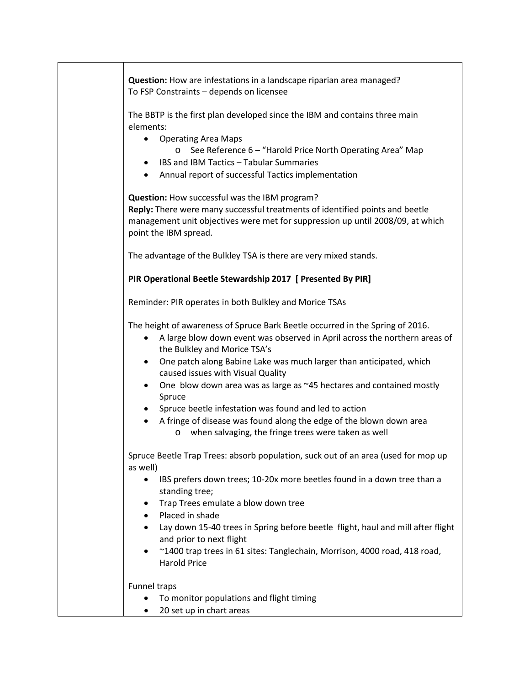**Question:** How are infestations in a landscape riparian area managed? To FSP Constraints – depends on licensee

The BBTP is the first plan developed since the IBM and contains three main elements:

- Operating Area Maps
	- o See Reference 6 "Harold Price North Operating Area" Map
- IBS and IBM Tactics Tabular Summaries
- Annual report of successful Tactics implementation

**Question:** How successful was the IBM program? **Reply:** There were many successful treatments of identified points and beetle management unit objectives were met for suppression up until 2008/09, at which point the IBM spread.

The advantage of the Bulkley TSA is there are very mixed stands.

### **PIR Operational Beetle Stewardship 2017 [ Presented By PIR]**

Reminder: PIR operates in both Bulkley and Morice TSAs

The height of awareness of Spruce Bark Beetle occurred in the Spring of 2016.

- A large blow down event was observed in April across the northern areas of the Bulkley and Morice TSA's
- One patch along Babine Lake was much larger than anticipated, which caused issues with Visual Quality
- One blow down area was as large as ~45 hectares and contained mostly Spruce
- Spruce beetle infestation was found and led to action
- A fringe of disease was found along the edge of the blown down area o when salvaging, the fringe trees were taken as well

Spruce Beetle Trap Trees: absorb population, suck out of an area (used for mop up as well)

- IBS prefers down trees; 10-20x more beetles found in a down tree than a standing tree;
- Trap Trees emulate a blow down tree
- Placed in shade
- Lay down 15-40 trees in Spring before beetle flight, haul and mill after flight and prior to next flight
- ~1400 trap trees in 61 sites: Tanglechain, Morrison, 4000 road, 418 road, Harold Price

#### Funnel traps

- To monitor populations and flight timing
- 20 set up in chart areas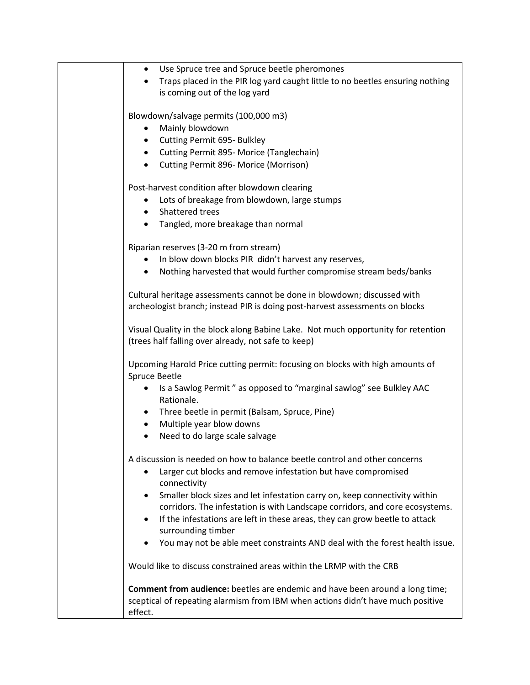| Use Spruce tree and Spruce beetle pheromones<br>٠<br>Traps placed in the PIR log yard caught little to no beetles ensuring nothing<br>٠<br>is coming out of the log yard                                                                                                                                                                                                                                                                                                                                                                  |
|-------------------------------------------------------------------------------------------------------------------------------------------------------------------------------------------------------------------------------------------------------------------------------------------------------------------------------------------------------------------------------------------------------------------------------------------------------------------------------------------------------------------------------------------|
| Blowdown/salvage permits (100,000 m3)<br>Mainly blowdown<br>Cutting Permit 695- Bulkley<br>$\bullet$<br>• Cutting Permit 895- Morice (Tanglechain)<br>Cutting Permit 896- Morice (Morrison)<br>$\bullet$                                                                                                                                                                                                                                                                                                                                  |
| Post-harvest condition after blowdown clearing<br>Lots of breakage from blowdown, large stumps<br>Shattered trees<br>$\bullet$<br>Tangled, more breakage than normal<br>$\bullet$                                                                                                                                                                                                                                                                                                                                                         |
| Riparian reserves (3-20 m from stream)<br>In blow down blocks PIR didn't harvest any reserves,<br>Nothing harvested that would further compromise stream beds/banks<br>$\bullet$                                                                                                                                                                                                                                                                                                                                                          |
| Cultural heritage assessments cannot be done in blowdown; discussed with<br>archeologist branch; instead PIR is doing post-harvest assessments on blocks                                                                                                                                                                                                                                                                                                                                                                                  |
| Visual Quality in the block along Babine Lake. Not much opportunity for retention<br>(trees half falling over already, not safe to keep)                                                                                                                                                                                                                                                                                                                                                                                                  |
| Upcoming Harold Price cutting permit: focusing on blocks with high amounts of<br>Spruce Beetle<br>Is a Sawlog Permit" as opposed to "marginal sawlog" see Bulkley AAC<br>$\bullet$<br>Rationale.<br>Three beetle in permit (Balsam, Spruce, Pine)<br>$\bullet$<br>Multiple year blow downs<br>$\bullet$<br>Need to do large scale salvage<br>$\bullet$                                                                                                                                                                                    |
| A discussion is needed on how to balance beetle control and other concerns<br>Larger cut blocks and remove infestation but have compromised<br>٠<br>connectivity<br>Smaller block sizes and let infestation carry on, keep connectivity within<br>$\bullet$<br>corridors. The infestation is with Landscape corridors, and core ecosystems.<br>If the infestations are left in these areas, they can grow beetle to attack<br>٠<br>surrounding timber<br>You may not be able meet constraints AND deal with the forest health issue.<br>٠ |
| Would like to discuss constrained areas within the LRMP with the CRB                                                                                                                                                                                                                                                                                                                                                                                                                                                                      |
| Comment from audience: beetles are endemic and have been around a long time;<br>sceptical of repeating alarmism from IBM when actions didn't have much positive<br>effect.                                                                                                                                                                                                                                                                                                                                                                |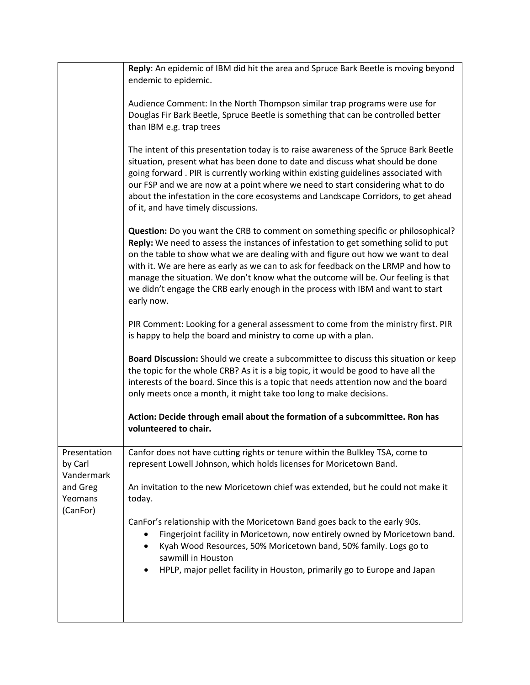|                                       | Reply: An epidemic of IBM did hit the area and Spruce Bark Beetle is moving beyond<br>endemic to epidemic.                                                                                                                                                                                                                                                                                                                                                                                                                              |
|---------------------------------------|-----------------------------------------------------------------------------------------------------------------------------------------------------------------------------------------------------------------------------------------------------------------------------------------------------------------------------------------------------------------------------------------------------------------------------------------------------------------------------------------------------------------------------------------|
|                                       | Audience Comment: In the North Thompson similar trap programs were use for<br>Douglas Fir Bark Beetle, Spruce Beetle is something that can be controlled better<br>than IBM e.g. trap trees                                                                                                                                                                                                                                                                                                                                             |
|                                       | The intent of this presentation today is to raise awareness of the Spruce Bark Beetle<br>situation, present what has been done to date and discuss what should be done<br>going forward. PIR is currently working within existing guidelines associated with<br>our FSP and we are now at a point where we need to start considering what to do<br>about the infestation in the core ecosystems and Landscape Corridors, to get ahead<br>of it, and have timely discussions.                                                            |
|                                       | Question: Do you want the CRB to comment on something specific or philosophical?<br>Reply: We need to assess the instances of infestation to get something solid to put<br>on the table to show what we are dealing with and figure out how we want to deal<br>with it. We are here as early as we can to ask for feedback on the LRMP and how to<br>manage the situation. We don't know what the outcome will be. Our feeling is that<br>we didn't engage the CRB early enough in the process with IBM and want to start<br>early now. |
|                                       | PIR Comment: Looking for a general assessment to come from the ministry first. PIR<br>is happy to help the board and ministry to come up with a plan.                                                                                                                                                                                                                                                                                                                                                                                   |
|                                       | Board Discussion: Should we create a subcommittee to discuss this situation or keep<br>the topic for the whole CRB? As it is a big topic, it would be good to have all the<br>interests of the board. Since this is a topic that needs attention now and the board<br>only meets once a month, it might take too long to make decisions.                                                                                                                                                                                                |
|                                       | Action: Decide through email about the formation of a subcommittee. Ron has<br>volunteered to chair.                                                                                                                                                                                                                                                                                                                                                                                                                                    |
| Presentation<br>by Carl<br>Vandermark | Canfor does not have cutting rights or tenure within the Bulkley TSA, come to<br>represent Lowell Johnson, which holds licenses for Moricetown Band.                                                                                                                                                                                                                                                                                                                                                                                    |
| and Greg<br>Yeomans<br>(CanFor)       | An invitation to the new Moricetown chief was extended, but he could not make it<br>today.                                                                                                                                                                                                                                                                                                                                                                                                                                              |
|                                       | CanFor's relationship with the Moricetown Band goes back to the early 90s.<br>Fingerjoint facility in Moricetown, now entirely owned by Moricetown band.<br>٠<br>Kyah Wood Resources, 50% Moricetown band, 50% family. Logs go to<br>sawmill in Houston                                                                                                                                                                                                                                                                                 |
|                                       | HPLP, major pellet facility in Houston, primarily go to Europe and Japan<br>$\bullet$                                                                                                                                                                                                                                                                                                                                                                                                                                                   |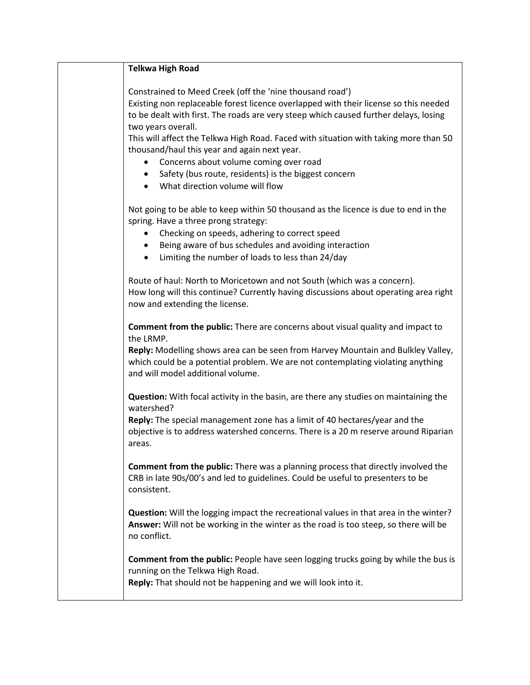| <b>Telkwa High Road</b>                                                                                                                                                                                                                  |
|------------------------------------------------------------------------------------------------------------------------------------------------------------------------------------------------------------------------------------------|
| Constrained to Meed Creek (off the 'nine thousand road')<br>Existing non replaceable forest licence overlapped with their license so this needed<br>to be dealt with first. The roads are very steep which caused further delays, losing |
| two years overall.                                                                                                                                                                                                                       |
| This will affect the Telkwa High Road. Faced with situation with taking more than 50<br>thousand/haul this year and again next year.                                                                                                     |
| Concerns about volume coming over road<br>Safety (bus route, residents) is the biggest concern<br>$\bullet$                                                                                                                              |
| What direction volume will flow                                                                                                                                                                                                          |
| Not going to be able to keep within 50 thousand as the licence is due to end in the<br>spring. Have a three prong strategy:                                                                                                              |
| Checking on speeds, adhering to correct speed<br>Being aware of bus schedules and avoiding interaction<br>$\bullet$                                                                                                                      |
| Limiting the number of loads to less than 24/day<br>$\bullet$                                                                                                                                                                            |
| Route of haul: North to Moricetown and not South (which was a concern).<br>How long will this continue? Currently having discussions about operating area right<br>now and extending the license.                                        |
| <b>Comment from the public:</b> There are concerns about visual quality and impact to<br>the LRMP.                                                                                                                                       |
| Reply: Modelling shows area can be seen from Harvey Mountain and Bulkley Valley,<br>which could be a potential problem. We are not contemplating violating anything<br>and will model additional volume.                                 |
| <b>Question:</b> With focal activity in the basin, are there any studies on maintaining the<br>watershed?                                                                                                                                |
| Reply: The special management zone has a limit of 40 hectares/year and the<br>objective is to address watershed concerns. There is a 20 m reserve around Riparian<br>areas.                                                              |
| <b>Comment from the public:</b> There was a planning process that directly involved the<br>CRB in late 90s/00's and led to guidelines. Could be useful to presenters to be<br>consistent.                                                |
| Question: Will the logging impact the recreational values in that area in the winter?<br>Answer: Will not be working in the winter as the road is too steep, so there will be<br>no conflict.                                            |
| Comment from the public: People have seen logging trucks going by while the bus is<br>running on the Telkwa High Road.                                                                                                                   |

**Reply:** That should not be happening and we will look into it.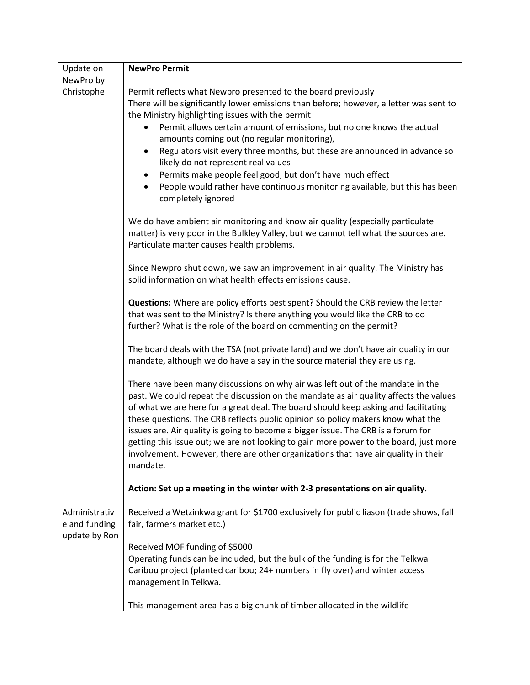| Update on                                       | <b>NewPro Permit</b>                                                                                                                                                                                                                                                                                                                                                                                                                                                                                                                                                                                                                                                    |
|-------------------------------------------------|-------------------------------------------------------------------------------------------------------------------------------------------------------------------------------------------------------------------------------------------------------------------------------------------------------------------------------------------------------------------------------------------------------------------------------------------------------------------------------------------------------------------------------------------------------------------------------------------------------------------------------------------------------------------------|
| NewPro by                                       |                                                                                                                                                                                                                                                                                                                                                                                                                                                                                                                                                                                                                                                                         |
| Christophe                                      | Permit reflects what Newpro presented to the board previously<br>There will be significantly lower emissions than before; however, a letter was sent to<br>the Ministry highlighting issues with the permit<br>Permit allows certain amount of emissions, but no one knows the actual<br>٠<br>amounts coming out (no regular monitoring),<br>Regulators visit every three months, but these are announced in advance so<br>$\bullet$<br>likely do not represent real values<br>Permits make people feel good, but don't have much effect<br>$\bullet$<br>People would rather have continuous monitoring available, but this has been<br>$\bullet$<br>completely ignored |
|                                                 | We do have ambient air monitoring and know air quality (especially particulate<br>matter) is very poor in the Bulkley Valley, but we cannot tell what the sources are.<br>Particulate matter causes health problems.                                                                                                                                                                                                                                                                                                                                                                                                                                                    |
|                                                 | Since Newpro shut down, we saw an improvement in air quality. The Ministry has<br>solid information on what health effects emissions cause.                                                                                                                                                                                                                                                                                                                                                                                                                                                                                                                             |
|                                                 | Questions: Where are policy efforts best spent? Should the CRB review the letter<br>that was sent to the Ministry? Is there anything you would like the CRB to do<br>further? What is the role of the board on commenting on the permit?                                                                                                                                                                                                                                                                                                                                                                                                                                |
|                                                 | The board deals with the TSA (not private land) and we don't have air quality in our<br>mandate, although we do have a say in the source material they are using.                                                                                                                                                                                                                                                                                                                                                                                                                                                                                                       |
|                                                 | There have been many discussions on why air was left out of the mandate in the<br>past. We could repeat the discussion on the mandate as air quality affects the values<br>of what we are here for a great deal. The board should keep asking and facilitating<br>these questions. The CRB reflects public opinion so policy makers know what the<br>issues are. Air quality is going to become a bigger issue. The CRB is a forum for<br>getting this issue out; we are not looking to gain more power to the board, just more<br>involvement. However, there are other organizations that have air quality in their<br>mandate.                                       |
|                                                 | Action: Set up a meeting in the winter with 2-3 presentations on air quality.                                                                                                                                                                                                                                                                                                                                                                                                                                                                                                                                                                                           |
| Administrativ<br>e and funding<br>update by Ron | Received a Wetzinkwa grant for \$1700 exclusively for public liason (trade shows, fall<br>fair, farmers market etc.)                                                                                                                                                                                                                                                                                                                                                                                                                                                                                                                                                    |
|                                                 | Received MOF funding of \$5000                                                                                                                                                                                                                                                                                                                                                                                                                                                                                                                                                                                                                                          |
|                                                 | Operating funds can be included, but the bulk of the funding is for the Telkwa                                                                                                                                                                                                                                                                                                                                                                                                                                                                                                                                                                                          |
|                                                 | Caribou project (planted caribou; 24+ numbers in fly over) and winter access<br>management in Telkwa.                                                                                                                                                                                                                                                                                                                                                                                                                                                                                                                                                                   |
|                                                 | This management area has a big chunk of timber allocated in the wildlife                                                                                                                                                                                                                                                                                                                                                                                                                                                                                                                                                                                                |